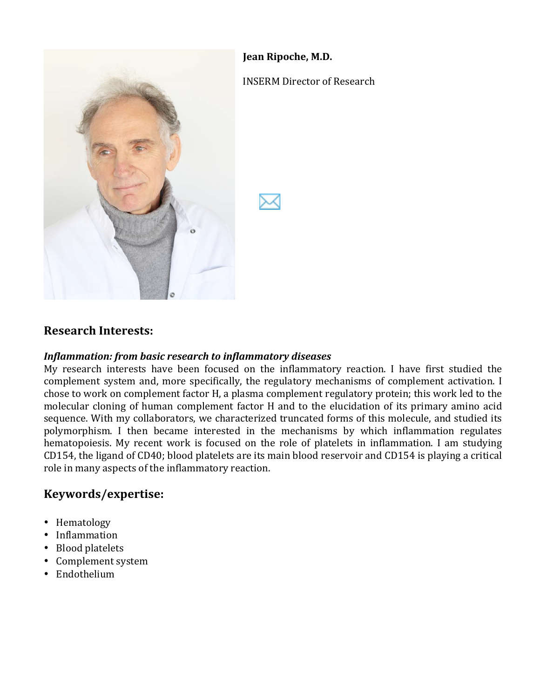## **Jean Ripoche, M.D.**



#### **INSERM Director of Research**



## **Research%Interests:**

#### *Inflammation: from basic research to inflammatory diseases*

My research interests have been focused on the inflammatory reaction. I have first studied the complement system and, more specifically, the regulatory mechanisms of complement activation. I chose to work on complement factor H, a plasma complement regulatory protein; this work led to the molecular cloning of human complement factor H and to the elucidation of its primary amino acid sequence. With my collaborators, we characterized truncated forms of this molecule, and studied its polymorphism. I then became interested in the mechanisms by which inflammation regulates hematopoiesis. My recent work is focused on the role of platelets in inflammation. I am studying CD154, the ligand of CD40; blood platelets are its main blood reservoir and CD154 is playing a critical role in many aspects of the inflammatory reaction.

## **Keywords/expertise:**

- Hematology
- Inflammation
- Blood platelets
- Complement system
- Endothelium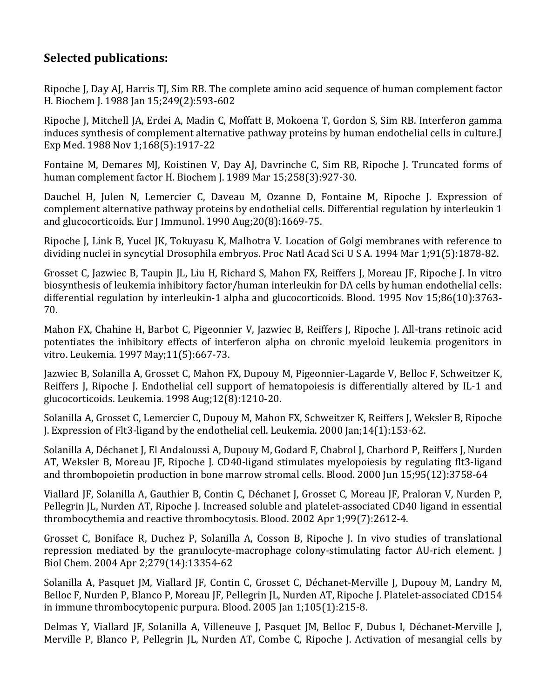# **Selected publications:**

Ripoche J, Day AJ, Harris TJ, Sim RB. The complete amino acid sequence of human complement factor H. Biochem J. 1988 Jan 15;249(2):593-602

Ripoche J, Mitchell JA, Erdei A, Madin C, Moffatt B, Mokoena T, Gordon S, Sim RB. Interferon gamma induces synthesis of complement alternative pathway proteins by human endothelial cells in culture.J Exp Med. 1988 Nov 1;168(5):1917-22

Fontaine M, Demares MJ, Koistinen V, Day AJ, Davrinche C, Sim RB, Ripoche J. Truncated forms of human complement factor H. Biochem J. 1989 Mar 15;258(3):927-30.

Dauchel H, Julen N, Lemercier C, Daveau M, Ozanne D, Fontaine M, Ripoche J. Expression of complement alternative pathway proteins by endothelial cells. Differential regulation by interleukin 1 and glucocorticoids. Eur J Immunol.  $1990$  Aug; $20(8)$ :1669-75.

Ripoche J, Link B, Yucel JK, Tokuyasu K, Malhotra V. Location of Golgi membranes with reference to dividing nuclei in syncytial Drosophila embryos. Proc Natl Acad Sci U S A. 1994 Mar 1:91(5):1878-82.

Grosset C, Jazwiec B, Taupin JL, Liu H, Richard S, Mahon FX, Reiffers J, Moreau JF, Ripoche J. In vitro biosynthesis of leukemia inhibitory factor/human interleukin for DA cells by human endothelial cells: differential regulation by interleukin-1 alpha and glucocorticoids. Blood. 1995 Nov  $15:86(10):3763$ -70.

Mahon FX, Chahine H, Barbot C, Pigeonnier V, Jazwiec B, Reiffers J, Ripoche J. All-trans retinoic acid potentiates the inhibitory effects of interferon alpha on chronic myeloid leukemia progenitors in vitro. Leukemia. 1997 May;11(5):667-73.

Jazwiec B, Solanilla A, Grosset C, Mahon FX, Dupouy M, Pigeonnier-Lagarde V, Belloc F, Schweitzer K, Reiffers J, Ripoche J. Endothelial cell support of hematopoiesis is differentially altered by IL-1 and glucocorticoids. Leukemia.  $1998$  Aug; $12(8)$ : $1210-20$ .

Solanilla A, Grosset C, Lemercier C, Dupouy M, Mahon FX, Schweitzer K, Reiffers J, Weksler B, Ripoche J. Expression of Flt3-ligand by the endothelial cell. Leukemia.  $2000$  Jan;14(1):153-62.

Solanilla A, Déchanet J, El Andaloussi A, Dupouy M, Godard F, Chabrol J, Charbord P, Reiffers J, Nurden AT, Weksler B, Moreau JF, Ripoche J. CD40-ligand stimulates myelopoiesis by regulating flt3-ligand and thrombopoietin production in bone marrow stromal cells. Blood. 2000 Jun 15;95(12):3758-64

Viallard JF, Solanilla A, Gauthier B, Contin C, Déchanet J, Grosset C, Moreau JF, Praloran V, Nurden P, Pellegrin JL, Nurden AT, Ripoche J. Increased soluble and platelet-associated CD40 ligand in essential thrombocythemia and reactive thrombocytosis. Blood. 2002 Apr 1;99(7):2612-4.

Grosset C, Boniface R, Duchez P, Solanilla A, Cosson B, Ripoche J. In vivo studies of translational repression mediated by the granulocyte-macrophage colony-stimulating factor AU-rich element. I Biol Chem. 2004 Apr 2;279(14):13354-62

Solanilla A, Pasquet JM, Viallard JF, Contin C, Grosset C, Déchanet-Merville J, Dupouy M, Landry M, Belloc F, Nurden P, Blanco P, Moreau JF, Pellegrin JL, Nurden AT, Ripoche J. Platelet-associated CD154 in immune thrombocytopenic purpura. Blood. 2005 Jan  $1;105(1):215-8$ .

Delmas Y, Viallard JF, Solanilla A, Villeneuve J, Pasquet JM, Belloc F, Dubus I, Déchanet-Merville J, Merville P, Blanco P, Pellegrin JL, Nurden AT, Combe C, Ripoche J. Activation of mesangial cells by